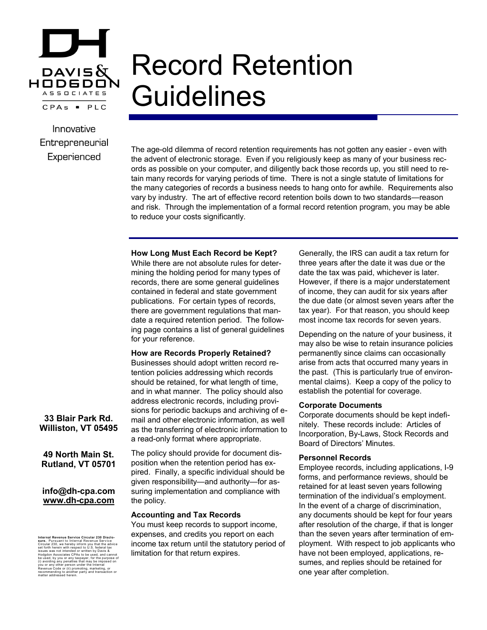

# Record Retention **Guidelines**

Innovative Entrepreneurial Experienced

The age-old dilemma of record retention requirements has not gotten any easier - even with the advent of electronic storage. Even if you religiously keep as many of your business records as possible on your computer, and diligently back those records up, you still need to retain many records for varying periods of time. There is not a single statute of limitations for the many categories of records a business needs to hang onto for awhile. Requirements also vary by industry. The art of effective record retention boils down to two standards—reason and risk. Through the implementation of a formal record retention program, you may be able to reduce your costs significantly.

# **How Long Must Each Record be Kept?**

While there are not absolute rules for determining the holding period for many types of records, there are some general guidelines contained in federal and state government publications. For certain types of records, there are government regulations that mandate a required retention period. The following page contains a list of general guidelines for your reference.

# **How are Records Properly Retained?**

Businesses should adopt written record retention policies addressing which records should be retained, for what length of time, and in what manner. The policy should also address electronic records, including provisions for periodic backups and archiving of email and other electronic information, as well as the transferring of electronic information to a read-only format where appropriate.

The policy should provide for document disposition when the retention period has expired. Finally, a specific individual should be given responsibility—and authority—for assuring implementation and compliance with the policy.

#### **Accounting and Tax Records**

You must keep records to support income, expenses, and credits you report on each income tax return until the statutory period of limitation for that return expires.

Generally, the IRS can audit a tax return for three years after the date it was due or the date the tax was paid, whichever is later. However, if there is a major understatement of income, they can audit for six years after the due date (or almost seven years after the tax year). For that reason, you should keep most income tax records for seven years.

Depending on the nature of your business, it may also be wise to retain insurance policies permanently since claims can occasionally arise from acts that occurred many years in the past. (This is particularly true of environmental claims). Keep a copy of the policy to establish the potential for coverage.

#### **Corporate Documents**

Corporate documents should be kept indefinitely. These records include: Articles of Incorporation, By-Laws, Stock Records and Board of Directors' Minutes.

#### **Personnel Records**

Employee records, including applications, I-9 forms, and performance reviews, should be retained for at least seven years following termination of the individual's employment. In the event of a charge of discrimination, any documents should be kept for four years after resolution of the charge, if that is longer than the seven years after termination of employment. With respect to job applicants who have not been employed, applications, resumes, and replies should be retained for one year after completion.

**33 Blair Park Rd. Williston, VT 05495**

**49 North Main St. Rutland, VT 05701**

## **info@dh-cpa.com www.dh-cpa.com**

Internal Revenue Service Circular 230 Disclo-<br>stare. Pursuant to Internal Revenue Service<br>stare. Pursuant to Internal Revenue Service<br>issues was not intended or written by Davis &<br>Hodgdon Associates CPAs to be used, and ca